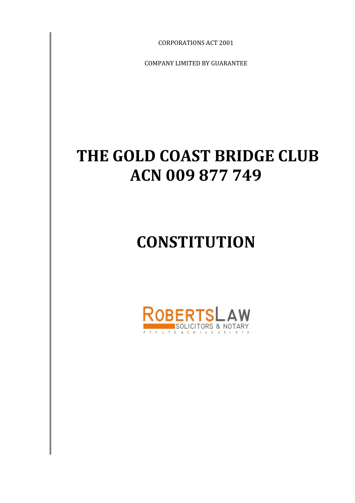CORPORATIONS ACT 2001

COMPANY LIMITED BY GUARANTEE

# **THE GOLD COAST BRIDGE CLUB ACN 009 877 749**

# **CONSTITUTION**

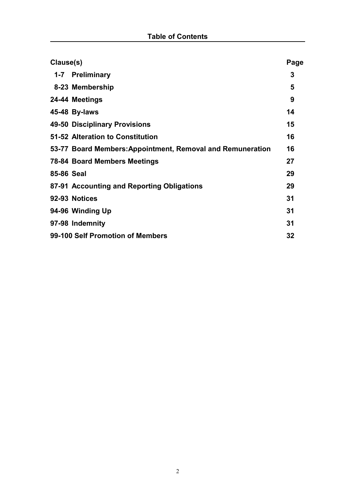| Clause(s)                        |                                                            | Page |
|----------------------------------|------------------------------------------------------------|------|
|                                  | 1-7 Preliminary                                            | 3    |
|                                  | 8-23 Membership                                            | 5    |
|                                  | 24-44 Meetings                                             | 9    |
|                                  | 45-48 By-laws                                              | 14   |
|                                  | 49-50 Disciplinary Provisions                              | 15   |
|                                  | 51-52 Alteration to Constitution                           | 16   |
|                                  | 53-77 Board Members: Appointment, Removal and Remuneration | 16   |
|                                  | <b>78-84 Board Members Meetings</b>                        | 27   |
| 85-86 Seal                       |                                                            | 29   |
|                                  | 87-91 Accounting and Reporting Obligations                 | 29   |
|                                  | 92-93 Notices                                              | 31   |
|                                  | 94-96 Winding Up                                           | 31   |
|                                  | 97-98 Indemnity                                            | 31   |
| 99-100 Self Promotion of Members |                                                            | 32   |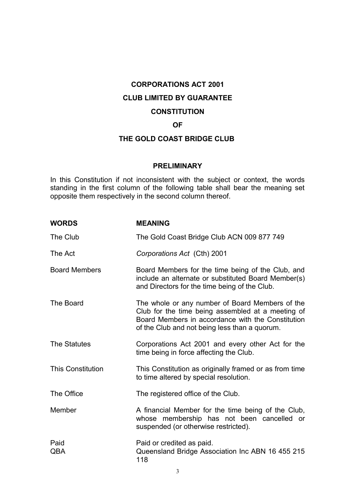# **CORPORATIONS ACT 2001 CLUB LIMITED BY GUARANTEE CONSTITUTION**

# **OF**

# **THE GOLD COAST BRIDGE CLUB**

#### **PRELIMINARY**

In this Constitution if not inconsistent with the subject or context, the words standing in the first column of the following table shall bear the meaning set opposite them respectively in the second column thereof.

| <b>WORDS</b>             | <b>MEANING</b>                                                                                                                                                                                             |
|--------------------------|------------------------------------------------------------------------------------------------------------------------------------------------------------------------------------------------------------|
| The Club                 | The Gold Coast Bridge Club ACN 009 877 749                                                                                                                                                                 |
| The Act                  | Corporations Act (Cth) 2001                                                                                                                                                                                |
| <b>Board Members</b>     | Board Members for the time being of the Club, and<br>include an alternate or substituted Board Member(s)<br>and Directors for the time being of the Club.                                                  |
| The Board                | The whole or any number of Board Members of the<br>Club for the time being assembled at a meeting of<br>Board Members in accordance with the Constitution<br>of the Club and not being less than a quorum. |
| <b>The Statutes</b>      | Corporations Act 2001 and every other Act for the<br>time being in force affecting the Club.                                                                                                               |
| <b>This Constitution</b> | This Constitution as originally framed or as from time<br>to time altered by special resolution.                                                                                                           |
| The Office               | The registered office of the Club.                                                                                                                                                                         |
| Member                   | A financial Member for the time being of the Club,<br>whose membership has not been cancelled or<br>suspended (or otherwise restricted).                                                                   |
| Paid<br>QBA              | Paid or credited as paid.<br>Queensland Bridge Association Inc ABN 16 455 215<br>118                                                                                                                       |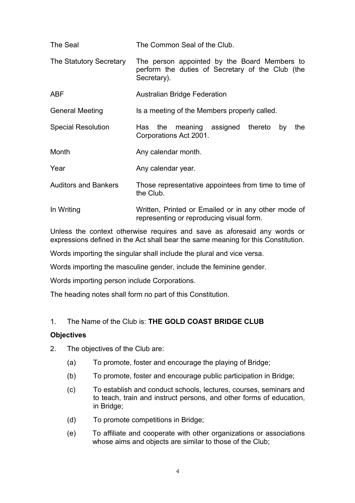| The Seal                    | The Common Seal of the Club.                                                                                    |
|-----------------------------|-----------------------------------------------------------------------------------------------------------------|
| The Statutory Secretary     | The person appointed by the Board Members to<br>perform the duties of Secretary of the Club (the<br>Secretary). |
| <b>ABF</b>                  | <b>Australian Bridge Federation</b>                                                                             |
| <b>General Meeting</b>      | Is a meeting of the Members properly called.                                                                    |
| <b>Special Resolution</b>   | Has the meaning assigned thereto<br>the<br>by<br>Corporations Act 2001.                                         |
| Month                       | Any calendar month.                                                                                             |
| Year                        | Any calendar year.                                                                                              |
| <b>Auditors and Bankers</b> | Those representative appointees from time to time of<br>the Club.                                               |
| In Writing                  | Written, Printed or Emailed or in any other mode of<br>representing or reproducing visual form.                 |

Unless the context otherwise requires and save as aforesaid any words or expressions defined in the Act shall bear the same meaning for this Constitution.

Words importing the singular shall include the plural and vice versa.

Words importing the masculine gender, include the feminine gender.

Words importing person include Corporations.

The heading notes shall form no part of this Constitution.

# 1. The Name of the Club is: **THE GOLD COAST BRIDGE CLUB**

#### **Objectives**

2. The objectives of the Club are:

- (a) To promote, foster and encourage the playing of Bridge;
- (b) To promote, foster and encourage public participation in Bridge;
- (c) To establish and conduct schools, lectures, courses, seminars and to teach, train and instruct persons, and other forms of education, in Bridge;
- (d) To promote competitions in Bridge;
- (e) To affiliate and cooperate with other organizations or associations whose aims and objects are similar to those of the Club;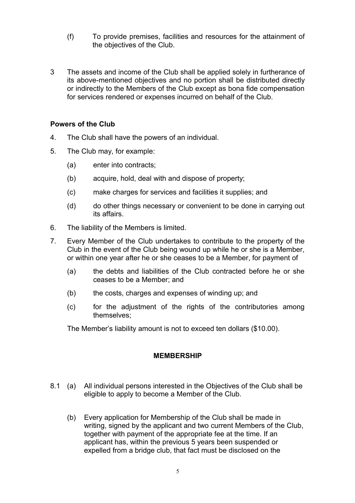- (f) To provide premises, facilities and resources for the attainment of the objectives of the Club.
- 3 The assets and income of the Club shall be applied solely in furtherance of its above-mentioned objectives and no portion shall be distributed directly or indirectly to the Members of the Club except as bona fide compensation for services rendered or expenses incurred on behalf of the Club.

#### **Powers of the Club**

- 4. The Club shall have the powers of an individual.
- 5. The Club may, for example:
	- (a) enter into contracts;
	- (b) acquire, hold, deal with and dispose of property;
	- (c) make charges for services and facilities it supplies; and
	- (d) do other things necessary or convenient to be done in carrying out its affairs.
- 6. The liability of the Members is limited.
- 7. Every Member of the Club undertakes to contribute to the property of the Club in the event of the Club being wound up while he or she is a Member, or within one year after he or she ceases to be a Member, for payment of
	- (a) the debts and liabilities of the Club contracted before he or she ceases to be a Member; and
	- (b) the costs, charges and expenses of winding up; and
	- (c) for the adjustment of the rights of the contributories among themselves;

The Member's liability amount is not to exceed ten dollars (\$10.00).

# **MEMBERSHIP**

- 8.1 (a) All individual persons interested in the Objectives of the Club shall be eligible to apply to become a Member of the Club.
	- (b) Every application for Membership of the Club shall be made in writing, signed by the applicant and two current Members of the Club, together with payment of the appropriate fee at the time. If an applicant has, within the previous 5 years been suspended or expelled from a bridge club, that fact must be disclosed on the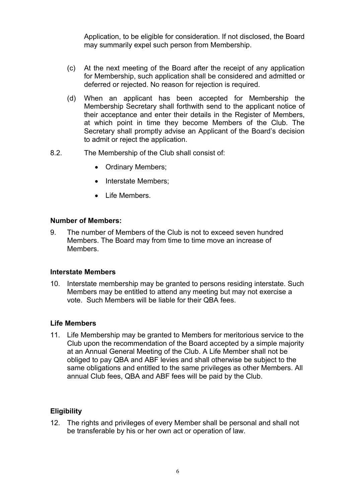Application, to be eligible for consideration. If not disclosed, the Board may summarily expel such person from Membership.

- (c) At the next meeting of the Board after the receipt of any application for Membership, such application shall be considered and admitted or deferred or rejected. No reason for rejection is required.
- (d) When an applicant has been accepted for Membership the Membership Secretary shall forthwith send to the applicant notice of their acceptance and enter their details in the Register of Members, at which point in time they become Members of the Club. The Secretary shall promptly advise an Applicant of the Board's decision to admit or reject the application.
- 8.2. The Membership of the Club shall consist of:
	- Ordinary Members;
	- Interstate Members;
	- Life Members.

# **Number of Members:**

9. The number of Members of the Club is not to exceed seven hundred Members. The Board may from time to time move an increase of **Members** 

#### **Interstate Members**

10. Interstate membership may be granted to persons residing interstate. Such Members may be entitled to attend any meeting but may not exercise a vote. Such Members will be liable for their QBA fees.

# **Life Members**

11. Life Membership may be granted to Members for meritorious service to the Club upon the recommendation of the Board accepted by a simple majority at an Annual General Meeting of the Club. A Life Member shall not be obliged to pay QBA and ABF levies and shall otherwise be subject to the same obligations and entitled to the same privileges as other Members. All annual Club fees, QBA and ABF fees will be paid by the Club.

# **Eligibility**

12. The rights and privileges of every Member shall be personal and shall not be transferable by his or her own act or operation of law.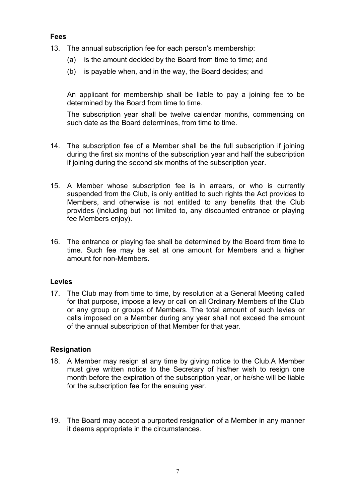#### **Fees**

- 13. The annual subscription fee for each person's membership:
	- (a) is the amount decided by the Board from time to time; and
	- (b) is payable when, and in the way, the Board decides; and

An applicant for membership shall be liable to pay a joining fee to be determined by the Board from time to time.

The subscription year shall be twelve calendar months, commencing on such date as the Board determines, from time to time.

- 14. The subscription fee of a Member shall be the full subscription if joining during the first six months of the subscription year and half the subscription if joining during the second six months of the subscription year.
- 15. A Member whose subscription fee is in arrears, or who is currently suspended from the Club, is only entitled to such rights the Act provides to Members, and otherwise is not entitled to any benefits that the Club provides (including but not limited to, any discounted entrance or playing fee Members enjoy).
- 16. The entrance or playing fee shall be determined by the Board from time to time. Such fee may be set at one amount for Members and a higher amount for non-Members.

#### **Levies**

17. The Club may from time to time, by resolution at a General Meeting called for that purpose, impose a levy or call on all Ordinary Members of the Club or any group or groups of Members. The total amount of such levies or calls imposed on a Member during any year shall not exceed the amount of the annual subscription of that Member for that year.

# **Resignation**

- 18. A Member may resign at any time by giving notice to the Club.A Member must give written notice to the Secretary of his/her wish to resign one month before the expiration of the subscription year, or he/she will be liable for the subscription fee for the ensuing year.
- 19. The Board may accept a purported resignation of a Member in any manner it deems appropriate in the circumstances.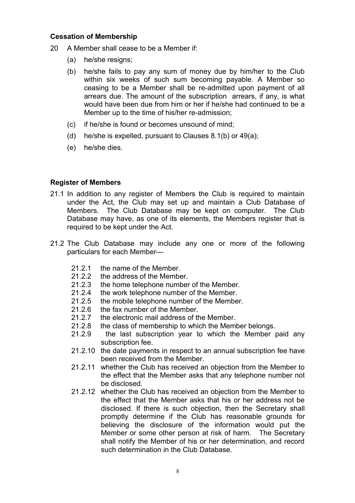#### **Cessation of Membership**

- 20 A Member shall cease to be a Member if:
	- (a) he/she resigns;
	- (b) he/she fails to pay any sum of money due by him/her to the Club within six weeks of such sum becoming payable. A Member so ceasing to be a Member shall be re-admitted upon payment of all arrears due. The amount of the subscription arrears, if any, is what would have been due from him or her if he/she had continued to be a Member up to the time of his/her re-admission;
	- (c) if he/she is found or becomes unsound of mind;
	- (d) he/she is expelled, pursuant to Clauses 8.1(b) or 49(a);
	- (e) he/she dies.

#### **Register of Members**

- 21.1 In addition to any register of Members the Club is required to maintain under the Act, the Club may set up and maintain a Club Database of Members. The Club Database may be kept on computer. The Club Database may have, as one of its elements, the Members register that is required to be kept under the Act.
- 21.2 The Club Database may include any one or more of the following particulars for each Member—
	- 21.2.1 the name of the Member.
	- 21.2.2 the address of the Member.
	- 21.2.3 the home telephone number of the Member.<br>21.2.4 the work telephone number of the Member.
	- the work telephone number of the Member.
	- 21.2.5 the mobile telephone number of the Member.
	- 21.2.6 the fax number of the Member.
	- 21.2.7 the electronic mail address of the Member.
	- 21.2.8 the class of membership to which the Member belongs.
	- 21.2.9 the last subscription year to which the Member paid any subscription fee.
	- 21.2.10 the date payments in respect to an annual subscription fee have been received from the Member.
	- 21.2.11 whether the Club has received an objection from the Member to the effect that the Member asks that any telephone number not be disclosed.
	- 21.2.12 whether the Club has received an objection from the Member to the effect that the Member asks that his or her address not be disclosed. If there is such objection, then the Secretary shall promptly determine if the Club has reasonable grounds for believing the disclosure of the information would put the Member or some other person at risk of harm. The Secretary shall notify the Member of his or her determination, and record such determination in the Club Database.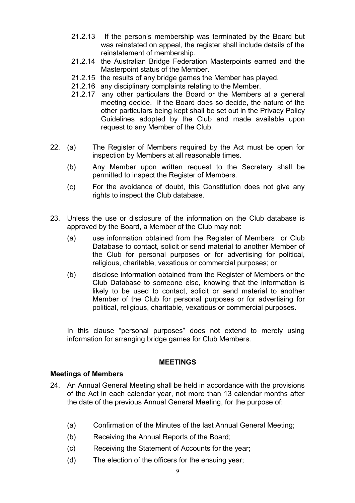- 21.2.13 If the person's membership was terminated by the Board but was reinstated on appeal, the register shall include details of the reinstatement of membership.
- 21.2.14 the Australian Bridge Federation Masterpoints earned and the Masterpoint status of the Member.
- 21.2.15 the results of any bridge games the Member has played.
- 21.2.16 any disciplinary complaints relating to the Member.
- 21.2.17 any other particulars the Board or the Members at a general meeting decide. If the Board does so decide, the nature of the other particulars being kept shall be set out in the Privacy Policy Guidelines adopted by the Club and made available upon request to any Member of the Club.
- 22. (a) The Register of Members required by the Act must be open for inspection by Members at all reasonable times.
	- (b) Any Member upon written request to the Secretary shall be permitted to inspect the Register of Members.
	- (c) For the avoidance of doubt, this Constitution does not give any rights to inspect the Club database.
- 23. Unless the use or disclosure of the information on the Club database is approved by the Board, a Member of the Club may not:
	- (a) use information obtained from the Register of Members or Club Database to contact, solicit or send material to another Member of the Club for personal purposes or for advertising for political, religious, charitable, vexatious or commercial purposes; or
	- (b) disclose information obtained from the Register of Members or the Club Database to someone else, knowing that the information is likely to be used to contact, solicit or send material to another Member of the Club for personal purposes or for advertising for political, religious, charitable, vexatious or commercial purposes.

In this clause "personal purposes" does not extend to merely using information for arranging bridge games for Club Members.

#### **MEETINGS**

#### **Meetings of Members**

- 24. An Annual General Meeting shall be held in accordance with the provisions of the Act in each calendar year, not more than 13 calendar months after the date of the previous Annual General Meeting, for the purpose of:
	- (a) Confirmation of the Minutes of the last Annual General Meeting;
	- (b) Receiving the Annual Reports of the Board;
	- (c) Receiving the Statement of Accounts for the year;
	- (d) The election of the officers for the ensuing year;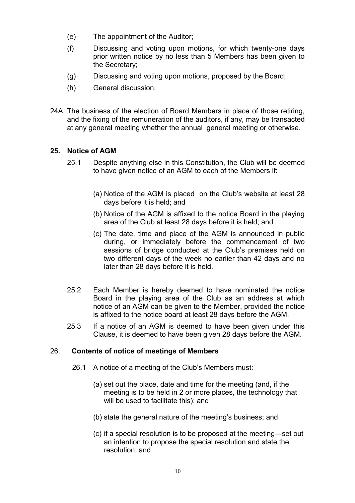- (e) The appointment of the Auditor;
- (f) Discussing and voting upon motions, for which twenty-one days prior written notice by no less than 5 Members has been given to the Secretary;
- (g) Discussing and voting upon motions, proposed by the Board;
- (h) General discussion.
- 24A. The business of the election of Board Members in place of those retiring, and the fixing of the remuneration of the auditors, if any, may be transacted at any general meeting whether the annual general meeting or otherwise.

# **25. Notice of AGM**

- 25.1 Despite anything else in this Constitution, the Club will be deemed to have given notice of an AGM to each of the Members if:
	- (a) Notice of the AGM is placed on the Club's website at least 28 days before it is held; and
	- (b) Notice of the AGM is affixed to the notice Board in the playing area of the Club at least 28 days before it is held; and
	- (c) The date, time and place of the AGM is announced in public during, or immediately before the commencement of two sessions of bridge conducted at the Club's premises held on two different days of the week no earlier than 42 days and no later than 28 days before it is held.
- 25.2 Each Member is hereby deemed to have nominated the notice Board in the playing area of the Club as an address at which notice of an AGM can be given to the Member, provided the notice is affixed to the notice board at least 28 days before the AGM.
- 25.3 If a notice of an AGM is deemed to have been given under this Clause, it is deemed to have been given 28 days before the AGM.

#### 26. **Contents of notice of meetings of Members**

- 26.1 A notice of a meeting of the Club's Members must:
	- (a) set out the place, date and time for the meeting (and, if the meeting is to be held in 2 or more places, the technology that will be used to facilitate this); and
	- (b) state the general nature of the meeting's business; and
	- (c) if a special resolution is to be proposed at the meeting—set out an intention to propose the special resolution and state the resolution; and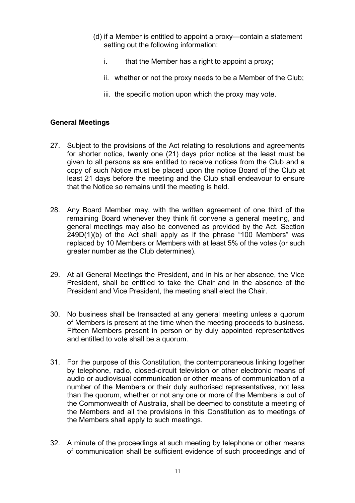- (d) if a Member is entitled to appoint a proxy—contain a statement setting out the following information:
	- i. that the Member has a right to appoint a proxy;
	- ii. whether or not the proxy needs to be a Member of the Club;
	- iii. the specific motion upon which the proxy may vote.

# **General Meetings**

- 27. Subject to the provisions of the Act relating to resolutions and agreements for shorter notice, twenty one (21) days prior notice at the least must be given to all persons as are entitled to receive notices from the Club and a copy of such Notice must be placed upon the notice Board of the Club at least 21 days before the meeting and the Club shall endeavour to ensure that the Notice so remains until the meeting is held.
- 28. Any Board Member may, with the written agreement of one third of the remaining Board whenever they think fit convene a general meeting, and general meetings may also be convened as provided by the Act. Section 249D(1)(b) of the Act shall apply as if the phrase "100 Members" was replaced by 10 Members or Members with at least 5% of the votes (or such greater number as the Club determines).
- 29. At all General Meetings the President, and in his or her absence, the Vice President, shall be entitled to take the Chair and in the absence of the President and Vice President, the meeting shall elect the Chair.
- 30. No business shall be transacted at any general meeting unless a quorum of Members is present at the time when the meeting proceeds to business. Fifteen Members present in person or by duly appointed representatives and entitled to vote shall be a quorum.
- 31. For the purpose of this Constitution, the contemporaneous linking together by telephone, radio, closed-circuit television or other electronic means of audio or audiovisual communication or other means of communication of a number of the Members or their duly authorised representatives, not less than the quorum, whether or not any one or more of the Members is out of the Commonwealth of Australia, shall be deemed to constitute a meeting of the Members and all the provisions in this Constitution as to meetings of the Members shall apply to such meetings.
- 32. A minute of the proceedings at such meeting by telephone or other means of communication shall be sufficient evidence of such proceedings and of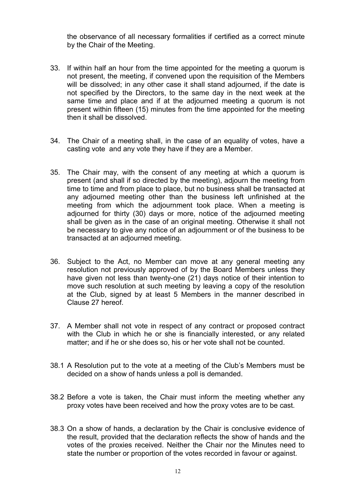the observance of all necessary formalities if certified as a correct minute by the Chair of the Meeting.

- 33. If within half an hour from the time appointed for the meeting a quorum is not present, the meeting, if convened upon the requisition of the Members will be dissolved; in any other case it shall stand adjourned, if the date is not specified by the Directors, to the same day in the next week at the same time and place and if at the adjourned meeting a quorum is not present within fifteen (15) minutes from the time appointed for the meeting then it shall be dissolved.
- 34. The Chair of a meeting shall, in the case of an equality of votes, have a casting vote and any vote they have if they are a Member.
- 35. The Chair may, with the consent of any meeting at which a quorum is present (and shall if so directed by the meeting), adjourn the meeting from time to time and from place to place, but no business shall be transacted at any adjourned meeting other than the business left unfinished at the meeting from which the adjournment took place. When a meeting is adjourned for thirty (30) days or more, notice of the adjourned meeting shall be given as in the case of an original meeting. Otherwise it shall not be necessary to give any notice of an adjournment or of the business to be transacted at an adjourned meeting.
- 36. Subject to the Act, no Member can move at any general meeting any resolution not previously approved of by the Board Members unless they have given not less than twenty-one (21) days notice of their intention to move such resolution at such meeting by leaving a copy of the resolution at the Club, signed by at least 5 Members in the manner described in Clause 27 hereof.
- 37. A Member shall not vote in respect of any contract or proposed contract with the Club in which he or she is financially interested, or any related matter; and if he or she does so, his or her vote shall not be counted.
- 38.1 A Resolution put to the vote at a meeting of the Club's Members must be decided on a show of hands unless a poll is demanded.
- 38.2 Before a vote is taken, the Chair must inform the meeting whether any proxy votes have been received and how the proxy votes are to be cast.
- 38.3 On a show of hands, a declaration by the Chair is conclusive evidence of the result, provided that the declaration reflects the show of hands and the votes of the proxies received. Neither the Chair nor the Minutes need to state the number or proportion of the votes recorded in favour or against.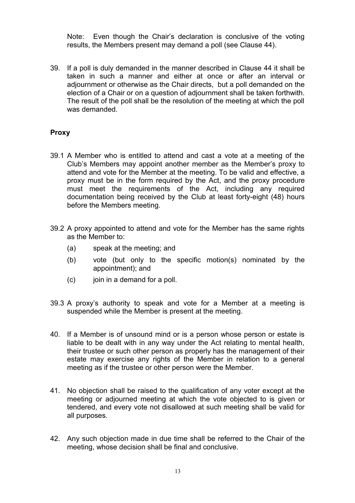Note: Even though the Chair's declaration is conclusive of the voting results, the Members present may demand a poll (see Clause 44).

39. If a poll is duly demanded in the manner described in Clause 44 it shall be taken in such a manner and either at once or after an interval or adjournment or otherwise as the Chair directs, but a poll demanded on the election of a Chair or on a question of adjournment shall be taken forthwith. The result of the poll shall be the resolution of the meeting at which the poll was demanded.

# **Proxy**

- 39.1 A Member who is entitled to attend and cast a vote at a meeting of the Club's Members may appoint another member as the Member's proxy to attend and vote for the Member at the meeting. To be valid and effective, a proxy must be in the form required by the Act, and the proxy procedure must meet the requirements of the Act, including any required documentation being received by the Club at least forty-eight (48) hours before the Members meeting.
- 39.2 A proxy appointed to attend and vote for the Member has the same rights as the Member to:
	- (a) speak at the meeting; and
	- (b) vote (but only to the specific motion(s) nominated by the appointment); and
	- $(c)$  join in a demand for a poll.
- 39.3 A proxy's authority to speak and vote for a Member at a meeting is suspended while the Member is present at the meeting.
- 40. If a Member is of unsound mind or is a person whose person or estate is liable to be dealt with in any way under the Act relating to mental health, their trustee or such other person as properly has the management of their estate may exercise any rights of the Member in relation to a general meeting as if the trustee or other person were the Member.
- 41. No objection shall be raised to the qualification of any voter except at the meeting or adjourned meeting at which the vote objected to is given or tendered, and every vote not disallowed at such meeting shall be valid for all purposes.
- 42. Any such objection made in due time shall be referred to the Chair of the meeting, whose decision shall be final and conclusive.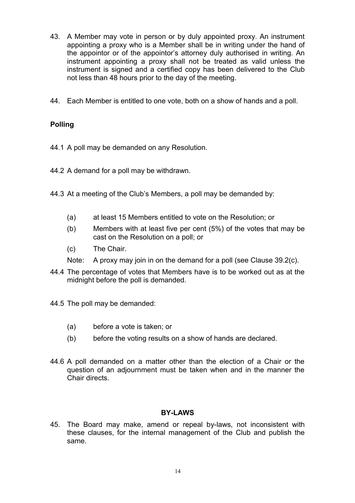- 43. A Member may vote in person or by duly appointed proxy. An instrument appointing a proxy who is a Member shall be in writing under the hand of the appointor or of the appointor's attorney duly authorised in writing. An instrument appointing a proxy shall not be treated as valid unless the instrument is signed and a certified copy has been delivered to the Club not less than 48 hours prior to the day of the meeting.
- 44. Each Member is entitled to one vote, both on a show of hands and a poll.

# **Polling**

- 44.1 A poll may be demanded on any Resolution.
- 44.2 A demand for a poll may be withdrawn.
- 44.3 At a meeting of the Club's Members, a poll may be demanded by:
	- (a) at least 15 Members entitled to vote on the Resolution; or
	- (b) Members with at least five per cent (5%) of the votes that may be cast on the Resolution on a poll; or
	- (c) The Chair.
	- Note: A proxy may join in on the demand for a poll (see Clause 39.2(c).
- 44.4 The percentage of votes that Members have is to be worked out as at the midnight before the poll is demanded.
- 44.5 The poll may be demanded:
	- (a) before a vote is taken; or
	- (b) before the voting results on a show of hands are declared.
- 44.6 A poll demanded on a matter other than the election of a Chair or the question of an adjournment must be taken when and in the manner the Chair directs.

# **BY-LAWS**

45. The Board may make, amend or repeal by-laws, not inconsistent with these clauses, for the internal management of the Club and publish the same.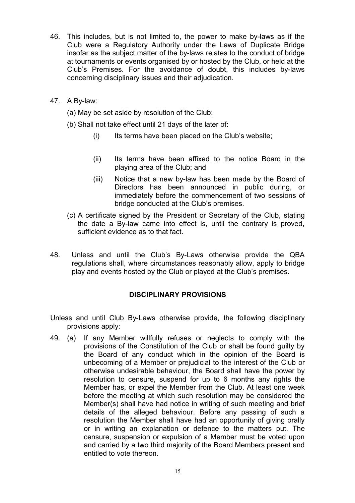- 46. This includes, but is not limited to, the power to make by-laws as if the Club were a Regulatory Authority under the Laws of Duplicate Bridge insofar as the subject matter of the by-laws relates to the conduct of bridge at tournaments or events organised by or hosted by the Club, or held at the Club's Premises. For the avoidance of doubt, this includes by-laws concerning disciplinary issues and their adjudication.
- 47. A By-law:
	- (a) May be set aside by resolution of the Club;
	- (b) Shall not take effect until 21 days of the later of:
		- (i) Its terms have been placed on the Club's website;
		- (ii) Its terms have been affixed to the notice Board in the playing area of the Club; and
		- (iii) Notice that a new by-law has been made by the Board of Directors has been announced in public during, or immediately before the commencement of two sessions of bridge conducted at the Club's premises.
	- (c) A certificate signed by the President or Secretary of the Club, stating the date a By-law came into effect is, until the contrary is proved, sufficient evidence as to that fact.
- 48. Unless and until the Club's By-Laws otherwise provide the QBA regulations shall, where circumstances reasonably allow, apply to bridge play and events hosted by the Club or played at the Club's premises.

# **DISCIPLINARY PROVISIONS**

- Unless and until Club By-Laws otherwise provide, the following disciplinary provisions apply:
- 49. (a) If any Member willfully refuses or neglects to comply with the provisions of the Constitution of the Club or shall be found guilty by the Board of any conduct which in the opinion of the Board is unbecoming of a Member or prejudicial to the interest of the Club or otherwise undesirable behaviour, the Board shall have the power by resolution to censure, suspend for up to 6 months any rights the Member has, or expel the Member from the Club. At least one week before the meeting at which such resolution may be considered the Member(s) shall have had notice in writing of such meeting and brief details of the alleged behaviour. Before any passing of such a resolution the Member shall have had an opportunity of giving orally or in writing an explanation or defence to the matters put. The censure, suspension or expulsion of a Member must be voted upon and carried by a two third majority of the Board Members present and entitled to vote thereon.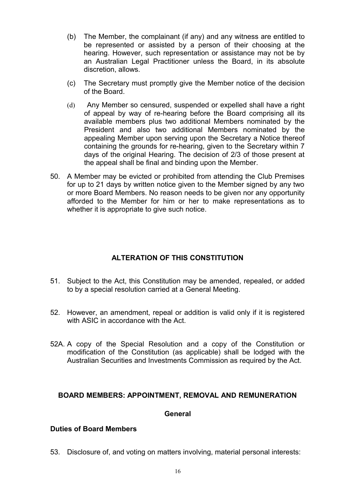- (b) The Member, the complainant (if any) and any witness are entitled to be represented or assisted by a person of their choosing at the hearing. However, such representation or assistance may not be by an Australian Legal Practitioner unless the Board, in its absolute discretion, allows.
- (c) The Secretary must promptly give the Member notice of the decision of the Board.
- (d) Any Member so censured, suspended or expelled shall have a right of appeal by way of re-hearing before the Board comprising all its available members plus two additional Members nominated by the President and also two additional Members nominated by the appealing Member upon serving upon the Secretary a Notice thereof containing the grounds for re-hearing, given to the Secretary within 7 days of the original Hearing. The decision of 2/3 of those present at the appeal shall be final and binding upon the Member.
- 50. A Member may be evicted or prohibited from attending the Club Premises for up to 21 days by written notice given to the Member signed by any two or more Board Members. No reason needs to be given nor any opportunity afforded to the Member for him or her to make representations as to whether it is appropriate to give such notice.

# **ALTERATION OF THIS CONSTITUTION**

- 51. Subject to the Act, this Constitution may be amended, repealed, or added to by a special resolution carried at a General Meeting.
- 52. However, an amendment, repeal or addition is valid only if it is registered with ASIC in accordance with the Act.
- 52A. A copy of the Special Resolution and a copy of the Constitution or modification of the Constitution (as applicable) shall be lodged with the Australian Securities and Investments Commission as required by the Act.

# **BOARD MEMBERS: APPOINTMENT, REMOVAL AND REMUNERATION**

#### **General**

#### **Duties of Board Members**

53. Disclosure of, and voting on matters involving, material personal interests: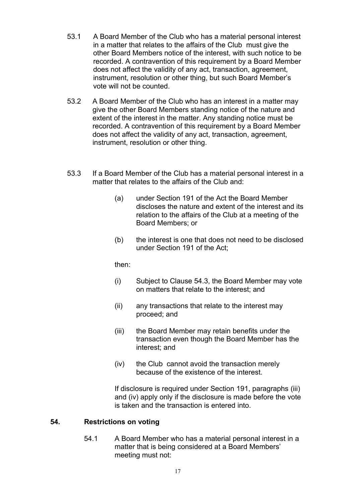- 53.1 A Board Member of the Club who has a material personal interest in a matter that relates to the affairs of the Club must give the other Board Members notice of the interest, with such notice to be recorded. A contravention of this requirement by a Board Member does not affect the validity of any act, transaction, agreement, instrument, resolution or other thing, but such Board Member's vote will not be counted.
- 53.2 A Board Member of the Club who has an interest in a matter may give the other Board Members standing notice of the nature and extent of the interest in the matter. Any standing notice must be recorded. A contravention of this requirement by a Board Member does not affect the validity of any act, transaction, agreement, instrument, resolution or other thing.
- 53.3 If a Board Member of the Club has a material personal interest in a matter that relates to the affairs of the Club and:
	- (a) under Section 191 of the Act the Board Member discloses the nature and extent of the interest and its relation to the affairs of the Club at a meeting of the Board Members; or
	- (b) the interest is one that does not need to be disclosed under Section 191 of the Act;

then:

- (i) Subject to Clause 54.3, the Board Member may vote on matters that relate to the interest; and
- (ii) any transactions that relate to the interest may proceed; and
- (iii) the Board Member may retain benefits under the transaction even though the Board Member has the interest; and
- (iv) the Club cannot avoid the transaction merely because of the existence of the interest.

If disclosure is required under Section 191, paragraphs (iii) and (iv) apply only if the disclosure is made before the vote is taken and the transaction is entered into.

# **54. Restrictions on voting**

54.1 A Board Member who has a material personal interest in a matter that is being considered at a Board Members' meeting must not: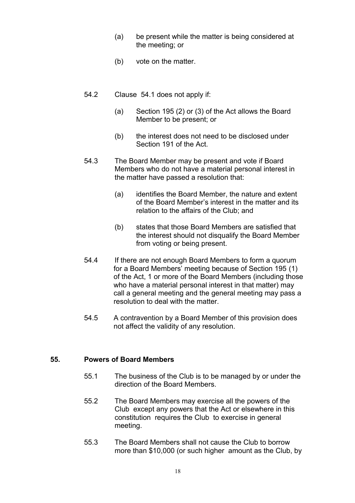- (a) be present while the matter is being considered at the meeting; or
- (b) vote on the matter.
- 54.2 Clause 54.1 does not apply if:
	- (a) Section 195 (2) or (3) of the Act allows the Board Member to be present; or
	- (b) the interest does not need to be disclosed under Section 191 of the Act.
- 54.3 The Board Member may be present and vote if Board Members who do not have a material personal interest in the matter have passed a resolution that:
	- (a) identifies the Board Member, the nature and extent of the Board Member's interest in the matter and its relation to the affairs of the Club; and
	- (b) states that those Board Members are satisfied that the interest should not disqualify the Board Member from voting or being present.
- 54.4 If there are not enough Board Members to form a quorum for a Board Members' meeting because of Section 195 (1) of the Act, 1 or more of the Board Members (including those who have a material personal interest in that matter) may call a general meeting and the general meeting may pass a resolution to deal with the matter.
- 54.5 A contravention by a Board Member of this provision does not affect the validity of any resolution.

#### **55. Powers of Board Members**

- 55.1 The business of the Club is to be managed by or under the direction of the Board Members.
- 55.2 The Board Members may exercise all the powers of the Club except any powers that the Act or elsewhere in this constitution requires the Club to exercise in general meeting.
- 55.3 The Board Members shall not cause the Club to borrow more than \$10,000 (or such higher amount as the Club, by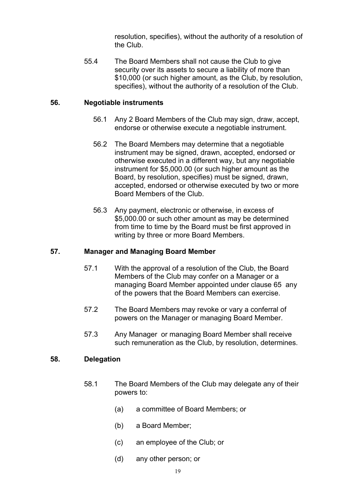resolution, specifies), without the authority of a resolution of the Club.

55.4 The Board Members shall not cause the Club to give security over its assets to secure a liability of more than \$10,000 (or such higher amount, as the Club, by resolution, specifies), without the authority of a resolution of the Club.

# **56. Negotiable instruments**

- 56.1 Any 2 Board Members of the Club may sign, draw, accept, endorse or otherwise execute a negotiable instrument.
- 56.2 The Board Members may determine that a negotiable instrument may be signed, drawn, accepted, endorsed or otherwise executed in a different way, but any negotiable instrument for \$5,000.00 (or such higher amount as the Board, by resolution, specifies) must be signed, drawn, accepted, endorsed or otherwise executed by two or more Board Members of the Club.
- 56.3 Any payment, electronic or otherwise, in excess of \$5,000.00 or such other amount as may be determined from time to time by the Board must be first approved in writing by three or more Board Members.

# **57. Manager and Managing Board Member**

- 57.1 With the approval of a resolution of the Club, the Board Members of the Club may confer on a Manager or a managing Board Member appointed under clause 65 any of the powers that the Board Members can exercise.
- 57.2 The Board Members may revoke or vary a conferral of powers on the Manager or managing Board Member.
- 57.3 Any Manager or managing Board Member shall receive such remuneration as the Club, by resolution, determines.

#### **58. Delegation**

- 58.1 The Board Members of the Club may delegate any of their powers to:
	- (a) a committee of Board Members; or
	- (b) a Board Member;
	- (c) an employee of the Club; or
	- (d) any other person; or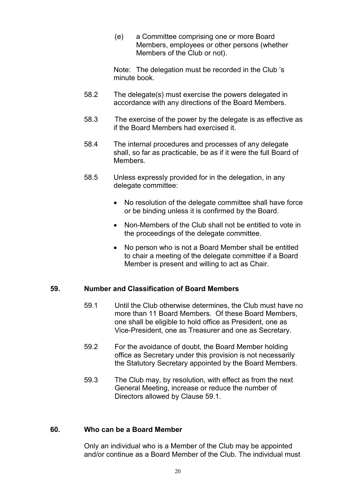(e) a Committee comprising one or more Board Members, employees or other persons (whether Members of the Club or not).

Note: The delegation must be recorded in the Club 's minute book.

- 58.2 The delegate(s) must exercise the powers delegated in accordance with any directions of the Board Members.
- 58.3 The exercise of the power by the delegate is as effective as if the Board Members had exercised it.
- 58.4 The internal procedures and processes of any delegate shall, so far as practicable, be as if it were the full Board of Members.
- 58.5 Unless expressly provided for in the delegation, in any delegate committee:
	- No resolution of the delegate committee shall have force or be binding unless it is confirmed by the Board.
	- Non-Members of the Club shall not be entitled to vote in the proceedings of the delegate committee.
	- No person who is not a Board Member shall be entitled to chair a meeting of the delegate committee if a Board Member is present and willing to act as Chair.

# **59. Number and Classification of Board Members**

- 59.1 Until the Club otherwise determines, the Club must have no more than 11 Board Members. Of these Board Members, one shall be eligible to hold office as President, one as Vice-President, one as Treasurer and one as Secretary.
- 59.2 For the avoidance of doubt, the Board Member holding office as Secretary under this provision is not necessarily the Statutory Secretary appointed by the Board Members.
- 59.3 The Club may, by resolution, with effect as from the next General Meeting, increase or reduce the number of Directors allowed by Clause 59.1.

#### **60. Who can be a Board Member**

Only an individual who is a Member of the Club may be appointed and/or continue as a Board Member of the Club. The individual must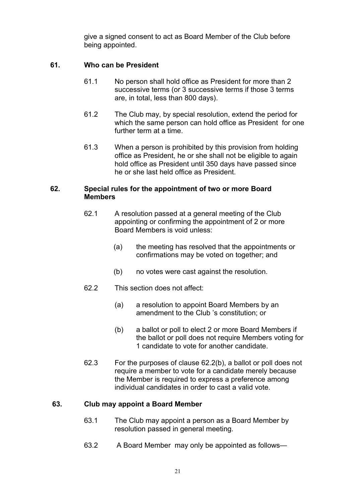give a signed consent to act as Board Member of the Club before being appointed.

# **61. Who can be President**

- 61.1 No person shall hold office as President for more than 2 successive terms (or 3 successive terms if those 3 terms are, in total, less than 800 days).
- 61.2 The Club may, by special resolution, extend the period for which the same person can hold office as President for one further term at a time.
- 61.3 When a person is prohibited by this provision from holding office as President, he or she shall not be eligible to again hold office as President until 350 days have passed since he or she last held office as President.

#### **62. Special rules for the appointment of two or more Board Members**

- 62.1 A resolution passed at a general meeting of the Club appointing or confirming the appointment of 2 or more Board Members is void unless:
	- (a) the meeting has resolved that the appointments or confirmations may be voted on together; and
	- (b) no votes were cast against the resolution.
- 62.2 This section does not affect:
	- (a) a resolution to appoint Board Members by an amendment to the Club 's constitution; or
	- (b) a ballot or poll to elect 2 or more Board Members if the ballot or poll does not require Members voting for 1 candidate to vote for another candidate.
- 62.3 For the purposes of clause 62.2(b), a ballot or poll does not require a member to vote for a candidate merely because the Member is required to express a preference among individual candidates in order to cast a valid vote.

#### **63. Club may appoint a Board Member**

- 63.1 The Club may appoint a person as a Board Member by resolution passed in general meeting.
- 63.2 A Board Member may only be appointed as follows—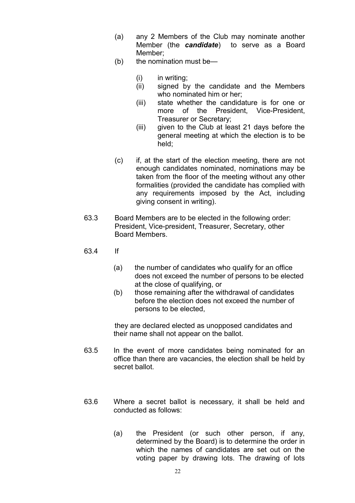- (a) any 2 Members of the Club may nominate another Member (the *candidate*) to serve as a Board Member;
- (b) the nomination must be—
	- (i) in writing;
	- (ii) signed by the candidate and the Members who nominated him or her;
	- (iii) state whether the candidature is for one or more of the President, Vice-President, Treasurer or Secretary;
	- (iii) given to the Club at least 21 days before the general meeting at which the election is to be held;
- (c) if, at the start of the election meeting, there are not enough candidates nominated, nominations may be taken from the floor of the meeting without any other formalities (provided the candidate has complied with any requirements imposed by the Act, including giving consent in writing).
- 63.3 Board Members are to be elected in the following order: President, Vice-president, Treasurer, Secretary, other Board Members.
- 63.4 If
	- (a) the number of candidates who qualify for an office does not exceed the number of persons to be elected at the close of qualifying, or
	- (b) those remaining after the withdrawal of candidates before the election does not exceed the number of persons to be elected,

they are declared elected as unopposed candidates and their name shall not appear on the ballot.

- 63.5 In the event of more candidates being nominated for an office than there are vacancies, the election shall be held by secret ballot.
- 63.6 Where a secret ballot is necessary, it shall be held and conducted as follows:
	- (a) the President (or such other person, if any, determined by the Board) is to determine the order in which the names of candidates are set out on the voting paper by drawing lots. The drawing of lots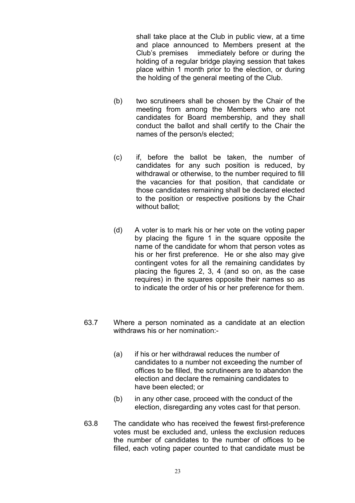shall take place at the Club in public view, at a time and place announced to Members present at the Club's premises immediately before or during the holding of a regular bridge playing session that takes place within 1 month prior to the election, or during the holding of the general meeting of the Club.

- (b) two scrutineers shall be chosen by the Chair of the meeting from among the Members who are not candidates for Board membership, and they shall conduct the ballot and shall certify to the Chair the names of the person/s elected;
- (c) if, before the ballot be taken, the number of candidates for any such position is reduced, by withdrawal or otherwise, to the number required to fill the vacancies for that position, that candidate or those candidates remaining shall be declared elected to the position or respective positions by the Chair without ballot:
- (d) A voter is to mark his or her vote on the voting paper by placing the figure 1 in the square opposite the name of the candidate for whom that person votes as his or her first preference. He or she also may give contingent votes for all the remaining candidates by placing the figures 2, 3, 4 (and so on, as the case requires) in the squares opposite their names so as to indicate the order of his or her preference for them.
- 63.7 Where a person nominated as a candidate at an election withdraws his or her nomination:-
	- (a) if his or her withdrawal reduces the number of candidates to a number not exceeding the number of offices to be filled, the scrutineers are to abandon the election and declare the remaining candidates to have been elected; or
	- (b) in any other case, proceed with the conduct of the election, disregarding any votes cast for that person.
- 63.8 The candidate who has received the fewest first-preference votes must be excluded and, unless the exclusion reduces the number of candidates to the number of offices to be filled, each voting paper counted to that candidate must be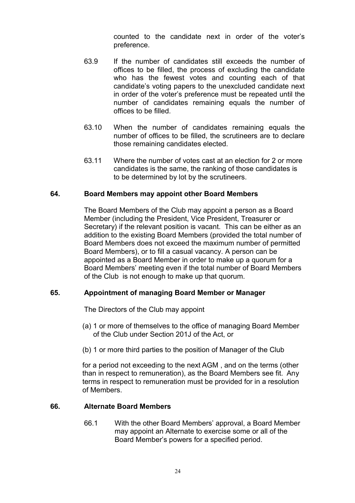counted to the candidate next in order of the voter's preference.

- 63.9 If the number of candidates still exceeds the number of offices to be filled, the process of excluding the candidate who has the fewest votes and counting each of that candidate's voting papers to the unexcluded candidate next in order of the voter's preference must be repeated until the number of candidates remaining equals the number of offices to be filled.
- 63.10 When the number of candidates remaining equals the number of offices to be filled, the scrutineers are to declare those remaining candidates elected.
- 63.11 Where the number of votes cast at an election for 2 or more candidates is the same, the ranking of those candidates is to be determined by lot by the scrutineers.

#### **64. Board Members may appoint other Board Members**

The Board Members of the Club may appoint a person as a Board Member (including the President, Vice President, Treasurer or Secretary) if the relevant position is vacant. This can be either as an addition to the existing Board Members (provided the total number of Board Members does not exceed the maximum number of permitted Board Members), or to fill a casual vacancy. A person can be appointed as a Board Member in order to make up a quorum for a Board Members' meeting even if the total number of Board Members of the Club is not enough to make up that quorum.

#### **65. Appointment of managing Board Member or Manager**

The Directors of the Club may appoint

- (a) 1 or more of themselves to the office of managing Board Member of the Club under Section 201J of the Act, or
- (b) 1 or more third parties to the position of Manager of the Club

for a period not exceeding to the next AGM , and on the terms (other than in respect to remuneration), as the Board Members see fit. Any terms in respect to remuneration must be provided for in a resolution of Members.

#### **66. Alternate Board Members**

66.1 With the other Board Members' approval, a Board Member may appoint an Alternate to exercise some or all of the Board Member's powers for a specified period.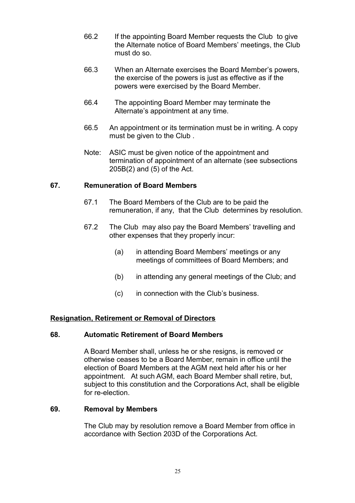- 66.2 If the appointing Board Member requests the Club to give the Alternate notice of Board Members' meetings, the Club must do so.
- 66.3 When an Alternate exercises the Board Member's powers, the exercise of the powers is just as effective as if the powers were exercised by the Board Member.
- 66.4 The appointing Board Member may terminate the Alternate's appointment at any time.
- 66.5 An appointment or its termination must be in writing. A copy must be given to the Club .
- Note: ASIC must be given notice of the appointment and termination of appointment of an alternate (see subsections 205B(2) and (5) of the Act.

# **67. Remuneration of Board Members**

- 67.1 The Board Members of the Club are to be paid the remuneration, if any, that the Club determines by resolution.
- 67.2 The Club may also pay the Board Members' travelling and other expenses that they properly incur:
	- (a) in attending Board Members' meetings or any meetings of committees of Board Members; and
	- (b) in attending any general meetings of the Club; and
	- (c) in connection with the Club's business.

# **Resignation, Retirement or Removal of Directors**

#### **68. Automatic Retirement of Board Members**

A Board Member shall, unless he or she resigns, is removed or otherwise ceases to be a Board Member, remain in office until the election of Board Members at the AGM next held after his or her appointment. At such AGM, each Board Member shall retire, but, subject to this constitution and the Corporations Act, shall be eligible for re-election.

#### **69. Removal by Members**

The Club may by resolution remove a Board Member from office in accordance with Section 203D of the Corporations Act.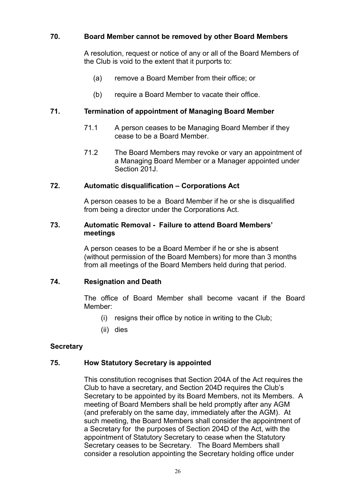# **70. Board Member cannot be removed by other Board Members**

A resolution, request or notice of any or all of the Board Members of the Club is void to the extent that it purports to:

- (a) remove a Board Member from their office; or
- (b) require a Board Member to vacate their office.

# **71. Termination of appointment of Managing Board Member**

- 71.1 A person ceases to be Managing Board Member if they cease to be a Board Member.
- 71.2 The Board Members may revoke or vary an appointment of a Managing Board Member or a Manager appointed under Section 201J

#### **72. Automatic disqualification – Corporations Act**

A person ceases to be a Board Member if he or she is disqualified from being a director under the Corporations Act.

#### **73. Automatic Removal - Failure to attend Board Members' meetings**

A person ceases to be a Board Member if he or she is absent (without permission of the Board Members) for more than 3 months from all meetings of the Board Members held during that period.

#### **74. Resignation and Death**

The office of Board Member shall become vacant if the Board Member:

- (i) resigns their office by notice in writing to the Club;
- (ii) dies

#### **Secretary**

# **75. How Statutory Secretary is appointed**

This constitution recognises that Section 204A of the Act requires the Club to have a secretary, and Section 204D requires the Club's Secretary to be appointed by its Board Members, not its Members. A meeting of Board Members shall be held promptly after any AGM (and preferably on the same day, immediately after the AGM). At such meeting, the Board Members shall consider the appointment of a Secretary for the purposes of Section 204D of the Act, with the appointment of Statutory Secretary to cease when the Statutory Secretary ceases to be Secretary. The Board Members shall consider a resolution appointing the Secretary holding office under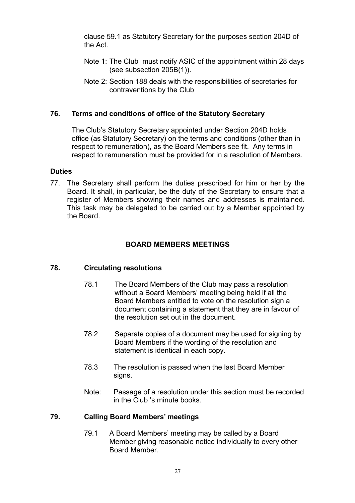clause 59.1 as Statutory Secretary for the purposes section 204D of the Act.

- Note 1: The Club must notify ASIC of the appointment within 28 days (see subsection 205B(1)).
- Note 2: Section 188 deals with the responsibilities of secretaries for contraventions by the Club

# **76. Terms and conditions of office of the Statutory Secretary**

The Club's Statutory Secretary appointed under Section 204D holds office (as Statutory Secretary) on the terms and conditions (other than in respect to remuneration), as the Board Members see fit. Any terms in respect to remuneration must be provided for in a resolution of Members.

#### **Duties**

77. The Secretary shall perform the duties prescribed for him or her by the Board. It shall, in particular, be the duty of the Secretary to ensure that a register of Members showing their names and addresses is maintained. This task may be delegated to be carried out by a Member appointed by the Board.

#### **BOARD MEMBERS MEETINGS**

#### **78. Circulating resolutions**

- 78.1 The Board Members of the Club may pass a resolution without a Board Members' meeting being held if all the Board Members entitled to vote on the resolution sign a document containing a statement that they are in favour of the resolution set out in the document.
- 78.2 Separate copies of a document may be used for signing by Board Members if the wording of the resolution and statement is identical in each copy.
- 78.3 The resolution is passed when the last Board Member signs.
- Note: Passage of a resolution under this section must be recorded in the Club 's minute books.

#### **79. Calling Board Members' meetings**

79.1 A Board Members' meeting may be called by a Board Member giving reasonable notice individually to every other Board Member.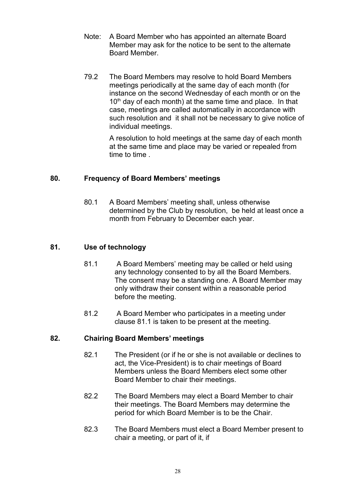- Note: A Board Member who has appointed an alternate Board Member may ask for the notice to be sent to the alternate Board Member.
- 79.2 The Board Members may resolve to hold Board Members meetings periodically at the same day of each month (for instance on the second Wednesday of each month or on the  $10<sup>th</sup>$  day of each month) at the same time and place. In that case, meetings are called automatically in accordance with such resolution and it shall not be necessary to give notice of individual meetings.

A resolution to hold meetings at the same day of each month at the same time and place may be varied or repealed from time to time .

# **80. Frequency of Board Members' meetings**

80.1 A Board Members' meeting shall, unless otherwise determined by the Club by resolution, be held at least once a month from February to December each year.

# **81. Use of technology**

- 81.1 A Board Members' meeting may be called or held using any technology consented to by all the Board Members. The consent may be a standing one. A Board Member may only withdraw their consent within a reasonable period before the meeting.
- 81.2 A Board Member who participates in a meeting under clause 81.1 is taken to be present at the meeting.

# **82. Chairing Board Members' meetings**

- 82.1 The President (or if he or she is not available or declines to act, the Vice-President) is to chair meetings of Board Members unless the Board Members elect some other Board Member to chair their meetings.
- 82.2 The Board Members may elect a Board Member to chair their meetings. The Board Members may determine the period for which Board Member is to be the Chair.
- 82.3 The Board Members must elect a Board Member present to chair a meeting, or part of it, if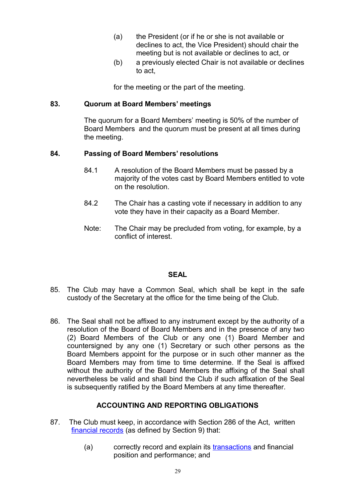- (a) the President (or if he or she is not available or declines to act, the Vice President) should chair the meeting but is not available or declines to act, or
- (b) a previously elected Chair is not available or declines to act,

for the meeting or the part of the meeting.

# **83. Quorum at Board Members' meetings**

The quorum for a Board Members' meeting is 50% of the number of Board Members and the quorum must be present at all times during the meeting.

# **84. Passing of Board Members' resolutions**

- 84.1 A resolution of the Board Members must be passed by a majority of the votes cast by Board Members entitled to vote on the resolution.
- 84.2 The Chair has a casting vote if necessary in addition to any vote they have in their capacity as a Board Member.
- Note: The Chair may be precluded from voting, for example, by a conflict of interest.

#### **SEAL**

- 85. The Club may have a Common Seal, which shall be kept in the safe custody of the Secretary at the office for the time being of the Club.
- 86. The Seal shall not be affixed to any instrument except by the authority of a resolution of the Board of Board Members and in the presence of any two (2) Board Members of the Club or any one (1) Board Member and countersigned by any one (1) Secretary or such other persons as the Board Members appoint for the purpose or in such other manner as the Board Members may from time to time determine. If the Seal is affixed without the authority of the Board Members the affixing of the Seal shall nevertheless be valid and shall bind the Club if such affixation of the Seal is subsequently ratified by the Board Members at any time thereafter.

# **ACCOUNTING AND REPORTING OBLIGATIONS**

- 87. The Club must keep, in accordance with Section 286 of the Act, written [financial records](http://www.austlii.edu.au/au/legis/cth/consol_act/ca2001172/s9.html#financial_records) (as defined by Section 9) that:
	- (a) correctly record and explain its [transactions](http://www.austlii.edu.au/au/legis/cth/consol_act/ca2001172/s9.html#transaction) and financial position and performance; and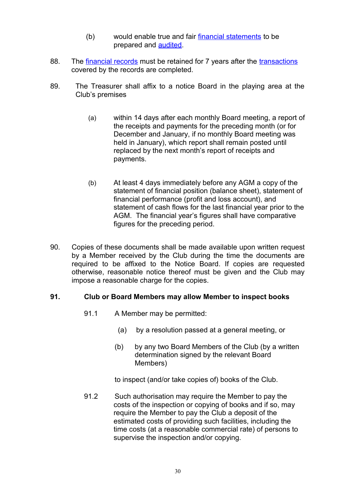- (b) would enable true and fair [financial statements](http://www.austlii.edu.au/au/legis/cth/consol_act/ca2001172/s9.html#financial_statements) to be prepared and [audited.](http://www.austlii.edu.au/au/legis/cth/consol_act/ca2001172/s9.html#audit)
- 88. The [financial records](http://www.austlii.edu.au/au/legis/cth/consol_act/ca2001172/s9.html#financial_records) must be retained for 7 years after the [transactions](http://www.austlii.edu.au/au/legis/cth/consol_act/ca2001172/s9.html#transaction) covered by the records are completed.
- 89. The Treasurer shall affix to a notice Board in the playing area at the Club's premises
	- (a) within 14 days after each monthly Board meeting, a report of the receipts and payments for the preceding month (or for December and January, if no monthly Board meeting was held in January), which report shall remain posted until replaced by the next month's report of receipts and payments.
	- (b) At least 4 days immediately before any AGM a copy of the statement of financial position (balance sheet), statement of financial performance (profit and loss account), and statement of cash flows for the last financial year prior to the AGM. The financial year's figures shall have comparative figures for the preceding period.
- 90. Copies of these documents shall be made available upon written request by a Member received by the Club during the time the documents are required to be affixed to the Notice Board. If copies are requested otherwise, reasonable notice thereof must be given and the Club may impose a reasonable charge for the copies.

#### **91. Club or Board Members may allow Member to inspect books**

- 91.1 A Member may be permitted:
	- (a) by a resolution passed at a general meeting, or
	- (b) by any two Board Members of the Club (by a written determination signed by the relevant Board Members)

to inspect (and/or take copies of) books of the Club.

91.2 Such authorisation may require the Member to pay the costs of the inspection or copying of books and if so, may require the Member to pay the Club a deposit of the estimated costs of providing such facilities, including the time costs (at a reasonable commercial rate) of persons to supervise the inspection and/or copying.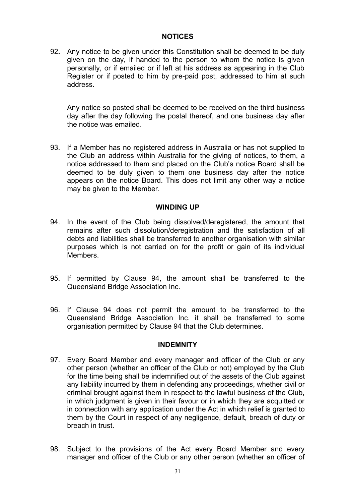#### **NOTICES**

92**.** Any notice to be given under this Constitution shall be deemed to be duly given on the day, if handed to the person to whom the notice is given personally, or if emailed or if left at his address as appearing in the Club Register or if posted to him by pre-paid post, addressed to him at such address.

Any notice so posted shall be deemed to be received on the third business day after the day following the postal thereof, and one business day after the notice was emailed.

93. If a Member has no registered address in Australia or has not supplied to the Club an address within Australia for the giving of notices, to them, a notice addressed to them and placed on the Club's notice Board shall be deemed to be duly given to them one business day after the notice appears on the notice Board. This does not limit any other way a notice may be given to the Member.

#### **WINDING UP**

- 94. In the event of the Club being dissolved/deregistered, the amount that remains after such dissolution/deregistration and the satisfaction of all debts and liabilities shall be transferred to another organisation with similar purposes which is not carried on for the profit or gain of its individual Members.
- 95. If permitted by Clause 94, the amount shall be transferred to the Queensland Bridge Association Inc.
- 96. If Clause 94 does not permit the amount to be transferred to the Queensland Bridge Association Inc. it shall be transferred to some organisation permitted by Clause 94 that the Club determines.

#### **INDEMNITY**

- 97. Every Board Member and every manager and officer of the Club or any other person (whether an officer of the Club or not) employed by the Club for the time being shall be indemnified out of the assets of the Club against any liability incurred by them in defending any proceedings, whether civil or criminal brought against them in respect to the lawful business of the Club, in which judgment is given in their favour or in which they are acquitted or in connection with any application under the Act in which relief is granted to them by the Court in respect of any negligence, default, breach of duty or breach in trust.
- 98. Subject to the provisions of the Act every Board Member and every manager and officer of the Club or any other person (whether an officer of